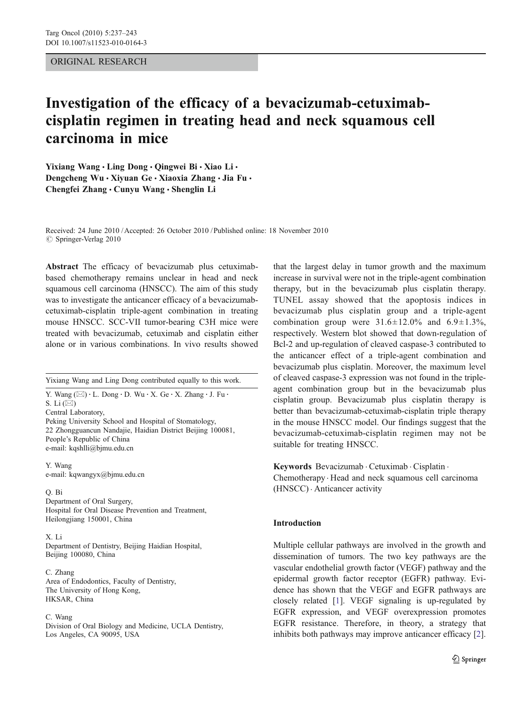# ORIGINAL RESEARCH

# Investigation of the efficacy of a bevacizumab-cetuximabcisplatin regimen in treating head and neck squamous cell carcinoma in mice

Yixiang Wang • Ling Dong • Oingwei Bi • Xiao Li • Dengcheng Wu · Xiyuan Ge · Xiaoxia Zhang · Jia Fu · Chengfei Zhang · Cunyu Wang · Shenglin Li

Received: 24 June 2010 /Accepted: 26 October 2010 / Published online: 18 November 2010 © Springer-Verlag 2010

Abstract The efficacy of bevacizumab plus cetuximabbased chemotherapy remains unclear in head and neck squamous cell carcinoma (HNSCC). The aim of this study was to investigate the anticancer efficacy of a bevacizumabcetuximab-cisplatin triple-agent combination in treating mouse HNSCC. SCC-VII tumor-bearing C3H mice were treated with bevacizumab, cetuximab and cisplatin either alone or in various combinations. In vivo results showed

Yixiang Wang and Ling Dong contributed equally to this work.

Y. Wang  $(\boxtimes) \cdot L$ . Dong  $\cdot$  D. Wu  $\cdot$  X. Ge  $\cdot$  X. Zhang  $\cdot$  J. Fu  $\cdot$ S. Li  $(\boxtimes)$ Central Laboratory, Peking University School and Hospital of Stomatology,

22 Zhongguancun Nandajie, Haidian District Beijing 100081, People's Republic of China e-mail: kqshlli@bjmu.edu.cn

Y. Wang e-mail: kqwangyx@bjmu.edu.cn

#### Q. Bi

Department of Oral Surgery, Hospital for Oral Disease Prevention and Treatment, Heilongjiang 150001, China

# X. Li

Department of Dentistry, Beijing Haidian Hospital, Beijing 100080, China

C. Zhang Area of Endodontics, Faculty of Dentistry, The University of Hong Kong, HKSAR, China

#### C. Wang

Division of Oral Biology and Medicine, UCLA Dentistry, Los Angeles, CA 90095, USA

that the largest delay in tumor growth and the maximum increase in survival were not in the triple-agent combination therapy, but in the bevacizumab plus cisplatin therapy. TUNEL assay showed that the apoptosis indices in bevacizumab plus cisplatin group and a triple-agent combination group were  $31.6 \pm 12.0$ % and  $6.9 \pm 1.3$ %, respectively. Western blot showed that down-regulation of Bcl-2 and up-regulation of cleaved caspase-3 contributed to the anticancer effect of a triple-agent combination and bevacizumab plus cisplatin. Moreover, the maximum level of cleaved caspase-3 expression was not found in the tripleagent combination group but in the bevacizumab plus cisplatin group. Bevacizumab plus cisplatin therapy is better than bevacizumab-cetuximab-cisplatin triple therapy in the mouse HNSCC model. Our findings suggest that the bevacizumab-cetuximab-cisplatin regimen may not be suitable for treating HNSCC.

Keywords Bevacizumab . Cetuximab . Cisplatin . Chemotherapy . Head and neck squamous cell carcinoma (HNSCC) . Anticancer activity

# Introduction

Multiple cellular pathways are involved in the growth and dissemination of tumors. The two key pathways are the vascular endothelial growth factor (VEGF) pathway and the epidermal growth factor receptor (EGFR) pathway. Evidence has shown that the VEGF and EGFR pathways are closely related [[1\]](#page-5-0). VEGF signaling is up-regulated by EGFR expression, and VEGF overexpression promotes EGFR resistance. Therefore, in theory, a strategy that inhibits both pathways may improve anticancer efficacy [[2\]](#page-5-0).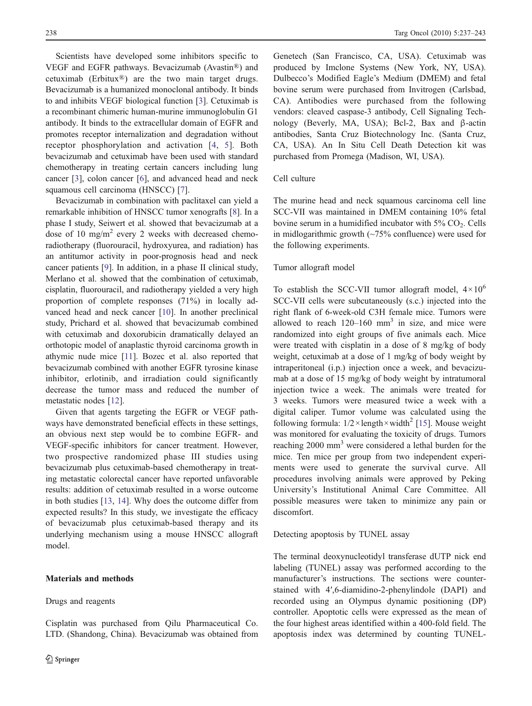<span id="page-1-0"></span>Scientists have developed some inhibitors specific to VEGF and EGFR pathways. Bevacizumab (Avastin®) and cetuximab (Erbitux®) are the two main target drugs. Bevacizumab is a humanized monoclonal antibody. It binds to and inhibits VEGF biological function [\[3](#page-5-0)]. Cetuximab is a recombinant chimeric human-murine immunoglobulin G1 antibody. It binds to the extracellular domain of EGFR and promotes receptor internalization and degradation without receptor phosphorylation and activation [[4](#page-5-0), [5\]](#page-5-0). Both bevacizumab and cetuximab have been used with standard chemotherapy in treating certain cancers including lung cancer [[3\]](#page-5-0), colon cancer [\[6](#page-5-0)], and advanced head and neck squamous cell carcinoma (HNSCC) [[7\]](#page-5-0).

Bevacizumab in combination with paclitaxel can yield a remarkable inhibition of HNSCC tumor xenografts [\[8](#page-5-0)]. In a phase I study, Seiwert et al. showed that bevacizumab at a dose of 10 mg/m<sup>2</sup> every 2 weeks with decreased chemoradiotherapy (fluorouracil, hydroxyurea, and radiation) has an antitumor activity in poor-prognosis head and neck cancer patients [[9\]](#page-5-0). In addition, in a phase II clinical study, Merlano et al. showed that the combination of cetuximab, cisplatin, fluorouracil, and radiotherapy yielded a very high proportion of complete responses (71%) in locally advanced head and neck cancer [\[10](#page-5-0)]. In another preclinical study, Prichard et al. showed that bevacizumab combined with cetuximab and doxorubicin dramatically delayed an orthotopic model of anaplastic thyroid carcinoma growth in athymic nude mice [\[11\]](#page-5-0). Bozec et al. also reported that bevacizumab combined with another EGFR tyrosine kinase inhibitor, erlotinib, and irradiation could significantly decrease the tumor mass and reduced the number of metastatic nodes [[12\]](#page-5-0).

Given that agents targeting the EGFR or VEGF pathways have demonstrated beneficial effects in these settings, an obvious next step would be to combine EGFR- and VEGF-specific inhibitors for cancer treatment. However, two prospective randomized phase III studies using bevacizumab plus cetuximab-based chemotherapy in treating metastatic colorectal cancer have reported unfavorable results: addition of cetuximab resulted in a worse outcome in both studies [[13,](#page-5-0) [14](#page-5-0)]. Why does the outcome differ from expected results? In this study, we investigate the efficacy of bevacizumab plus cetuximab-based therapy and its underlying mechanism using a mouse HNSCC allograft model.

## Materials and methods

# Drugs and reagents

Genetech (San Francisco, CA, USA). Cetuximab was produced by Imclone Systems (New York, NY, USA). Dulbecco's Modified Eagle's Medium (DMEM) and fetal bovine serum were purchased from Invitrogen (Carlsbad, CA). Antibodies were purchased from the following vendors: cleaved caspase-3 antibody, Cell Signaling Technology (Beverly, MA, USA); Bcl-2, Bax and β-actin antibodies, Santa Cruz Biotechnology Inc. (Santa Cruz, CA, USA). An In Situ Cell Death Detection kit was purchased from Promega (Madison, WI, USA).

# Cell culture

The murine head and neck squamous carcinoma cell line SCC-VII was maintained in DMEM containing 10% fetal bovine serum in a humidified incubator with  $5\%$  CO<sub>2</sub>. Cells in midlogarithmic growth  $(-75\% \text{ confidence})$  were used for the following experiments.

#### Tumor allograft model

To establish the SCC-VII tumor allograft model,  $4 \times 10^6$ SCC-VII cells were subcutaneously (s.c.) injected into the right flank of 6-week-old C3H female mice. Tumors were allowed to reach  $120-160$  mm<sup>3</sup> in size, and mice were randomized into eight groups of five animals each. Mice were treated with cisplatin in a dose of 8 mg/kg of body weight, cetuximab at a dose of 1 mg/kg of body weight by intraperitoneal (i.p.) injection once a week, and bevacizumab at a dose of 15 mg/kg of body weight by intratumoral injection twice a week. The animals were treated for 3 weeks. Tumors were measured twice a week with a digital caliper. Tumor volume was calculated using the following formula:  $1/2 \times \text{length} \times \text{width}^2$  [[15\]](#page-5-0). Mouse weight was monitored for evaluating the toxicity of drugs. Tumors reaching 2000 mm<sup>3</sup> were considered a lethal burden for the mice. Ten mice per group from two independent experiments were used to generate the survival curve. All procedures involving animals were approved by Peking University's Institutional Animal Care Committee. All possible measures were taken to minimize any pain or discomfort.

Detecting apoptosis by TUNEL assay

The terminal deoxynucleotidyl transferase dUTP nick end labeling (TUNEL) assay was performed according to the manufacturer's instructions. The sections were counterstained with 4′,6-diamidino-2-phenylindole (DAPI) and recorded using an Olympus dynamic positioning (DP) controller. Apoptotic cells were expressed as the mean of the four highest areas identified within a 400-fold field. The apoptosis index was determined by counting TUNEL-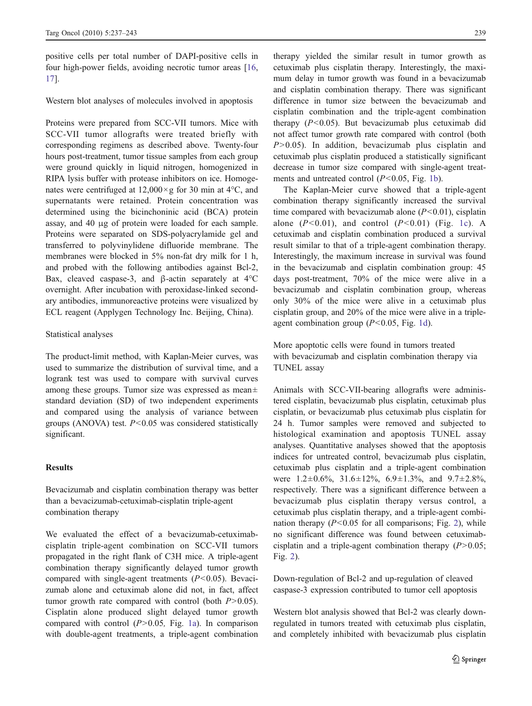positive cells per total number of DAPI-positive cells in four high-power fields, avoiding necrotic tumor areas [[16,](#page-5-0) [17](#page-6-0)].

Western blot analyses of molecules involved in apoptosis

Proteins were prepared from SCC-VII tumors. Mice with SCC-VII tumor allografts were treated briefly with corresponding regimens as described above. Twenty-four hours post-treatment, tumor tissue samples from each group were ground quickly in liquid nitrogen, homogenized in RIPA lysis buffer with protease inhibitors on ice. Homogenates were centrifuged at  $12,000 \times g$  for 30 min at 4°C, and supernatants were retained. Protein concentration was determined using the bicinchoninic acid (BCA) protein assay, and 40 μg of protein were loaded for each sample. Proteins were separated on SDS-polyacrylamide gel and transferred to polyvinylidene difluoride membrane. The membranes were blocked in 5% non-fat dry milk for 1 h, and probed with the following antibodies against Bcl-2, Bax, cleaved caspase-3, and β-actin separately at 4°C overnight. After incubation with peroxidase-linked secondary antibodies, immunoreactive proteins were visualized by ECL reagent (Applygen Technology Inc. Beijing, China).

# Statistical analyses

The product-limit method, with Kaplan-Meier curves, was used to summarize the distribution of survival time, and a logrank test was used to compare with survival curves among these groups. Tumor size was expressed as mean± standard deviation (SD) of two independent experiments and compared using the analysis of variance between groups (ANOVA) test.  $P < 0.05$  was considered statistically significant.

# **Results**

Bevacizumab and cisplatin combination therapy was better than a bevacizumab-cetuximab-cisplatin triple-agent combination therapy

We evaluated the effect of a bevacizumab-cetuximabcisplatin triple-agent combination on SCC-VII tumors propagated in the right flank of C3H mice. A triple-agent combination therapy significantly delayed tumor growth compared with single-agent treatments  $(P<0.05)$ . Bevacizumab alone and cetuximab alone did not, in fact, affect tumor growth rate compared with control (both  $P > 0.05$ ). Cisplatin alone produced slight delayed tumor growth compared with control  $(P>0.05,$  Fig. [1a\)](#page-3-0). In comparison with double-agent treatments, a triple-agent combination

therapy yielded the similar result in tumor growth as cetuximab plus cisplatin therapy. Interestingly, the maximum delay in tumor growth was found in a bevacizumab and cisplatin combination therapy. There was significant difference in tumor size between the bevacizumab and cisplatin combination and the triple-agent combination therapy  $(P<0.05)$ . But bevacizumab plus cetuximab did not affect tumor growth rate compared with control (both  $P>0.05$ ). In addition, bevacizumab plus cisplatin and cetuximab plus cisplatin produced a statistically significant decrease in tumor size compared with single-agent treatments and untreated control  $(P<0.05,$  Fig. [1b\)](#page-3-0).

The Kaplan-Meier curve showed that a triple-agent combination therapy significantly increased the survival time compared with bevacizumab alone  $(P<0.01)$ , cisplatin alone  $(P<0.01)$ , and control  $(P<0.01)$  (Fig. [1c](#page-3-0)). A cetuximab and cisplatin combination produced a survival result similar to that of a triple-agent combination therapy. Interestingly, the maximum increase in survival was found in the bevacizumab and cisplatin combination group: 45 days post-treatment, 70% of the mice were alive in a bevacizumab and cisplatin combination group, whereas only 30% of the mice were alive in a cetuximab plus cisplatin group, and 20% of the mice were alive in a tripleagent combination group  $(P<0.05$ , Fig. [1d\)](#page-3-0).

More apoptotic cells were found in tumors treated with bevacizumab and cisplatin combination therapy via TUNEL assay

Animals with SCC-VII-bearing allografts were administered cisplatin, bevacizumab plus cisplatin, cetuximab plus cisplatin, or bevacizumab plus cetuximab plus cisplatin for 24 h. Tumor samples were removed and subjected to histological examination and apoptosis TUNEL assay analyses. Quantitative analyses showed that the apoptosis indices for untreated control, bevacizumab plus cisplatin, cetuximab plus cisplatin and a triple-agent combination were  $1.2\pm0.6\%$ ,  $31.6\pm12\%$ ,  $6.9\pm1.3\%$ , and  $9.7\pm2.8\%$ , respectively. There was a significant difference between a bevacizumab plus cisplatin therapy versus control, a cetuximab plus cisplatin therapy, and a triple-agent combination therapy  $(P<0.05$  for all comparisons; Fig. [2](#page-3-0)), while no significant difference was found between cetuximabcisplatin and a triple-agent combination therapy  $(P>0.05)$ ; Fig. [2](#page-3-0)).

Down-regulation of Bcl-2 and up-regulation of cleaved caspase-3 expression contributed to tumor cell apoptosis

Western blot analysis showed that Bcl-2 was clearly downregulated in tumors treated with cetuximab plus cisplatin, and completely inhibited with bevacizumab plus cisplatin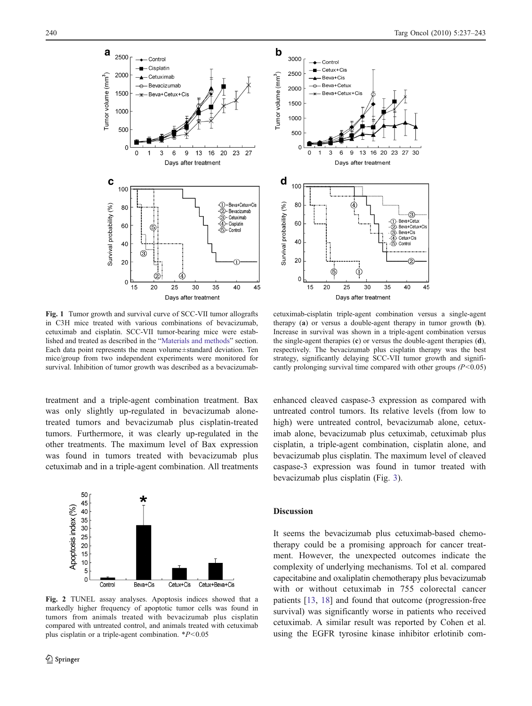<span id="page-3-0"></span>

Fig. 1 Tumor growth and survival curve of SCC-VII tumor allografts in C3H mice treated with various combinations of bevacizumab, cetuximab and cisplatin. SCC-VII tumor-bearing mice were established and treated as described in the "[Materials and methods](#page-1-0)" section. Each data point represents the mean volume±standard deviation. Ten mice/group from two independent experiments were monitored for survival. Inhibition of tumor growth was described as a bevacizumab-

treatment and a triple-agent combination treatment. Bax was only slightly up-regulated in bevacizumab alonetreated tumors and bevacizumab plus cisplatin-treated tumors. Furthermore, it was clearly up-regulated in the other treatments. The maximum level of Bax expression was found in tumors treated with bevacizumab plus cetuximab and in a triple-agent combination. All treatments

50 45 Apoptosis index (%) 40 35<br>30  $\frac{25}{20}$ 15  $10$ 5  $\mathsf{O}$ Contro Cetux+Cis Cetux+Beva+Cis Beva+Cis

Fig. 2 TUNEL assay analyses. Apoptosis indices showed that a markedly higher frequency of apoptotic tumor cells was found in tumors from animals treated with bevacizumab plus cisplatin compared with untreated control, and animals treated with cetuximab plus cisplatin or a triple-agent combination.  $*P<0.05$ 

cetuximab-cisplatin triple-agent combination versus a single-agent therapy (a) or versus a double-agent therapy in tumor growth (b). Increase in survival was shown in a triple-agent combination versus the single-agent therapies (c) or versus the double-agent therapies (d), respectively. The bevacizumab plus cisplatin therapy was the best strategy, significantly delaying SCC-VII tumor growth and significantly prolonging survival time compared with other groups  $(P<0.05)$ 

35

16 20 23

27 30

 $\circledS$ 

Beva+Cetux

2. Beva+Cetux+Cis

SC Beva+Cis<br>③ Beva+Cis Cetux+Cis

Control

40

45

enhanced cleaved caspase-3 expression as compared with untreated control tumors. Its relative levels (from low to high) were untreated control, bevacizumab alone, cetuximab alone, bevacizumab plus cetuximab, cetuximab plus cisplatin, a triple-agent combination, cisplatin alone, and bevacizumab plus cisplatin. The maximum level of cleaved caspase-3 expression was found in tumor treated with bevacizumab plus cisplatin (Fig. [3](#page-4-0)).

# Discussion

It seems the bevacizumab plus cetuximab-based chemotherapy could be a promising approach for cancer treatment. However, the unexpected outcomes indicate the complexity of underlying mechanisms. Tol et al. compared capecitabine and oxaliplatin chemotherapy plus bevacizumab with or without cetuximab in 755 colorectal cancer patients [[13](#page-5-0), [18](#page-6-0)] and found that outcome (progression-free survival) was significantly worse in patients who received cetuximab. A similar result was reported by Cohen et al. using the EGFR tyrosine kinase inhibitor erlotinib com-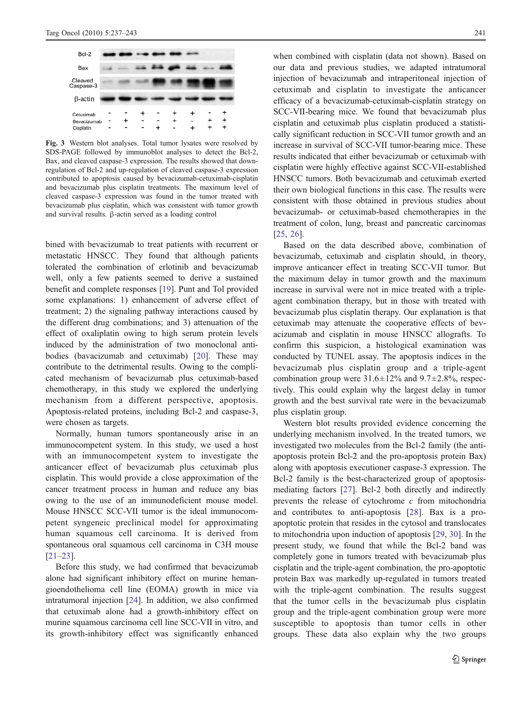<span id="page-4-0"></span>

Fig. 3 Western blot analyses. Total tumor lysates were resolved by SDS-PAGE followed by immunoblot analyses to detect the Bcl-2, Bax, and cleaved caspase-3 expression. The results showed that downregulation of Bcl-2 and up-regulation of cleaved caspase-3 expression contributed to apoptosis caused by bevacizumab-cetuximab-cisplatin and bevacizumab plus cisplatin treatments. The maximum level of cleaved caspase-3 expression was found in the tumor treated with bevacizumab plus cisplatin, which was consistent with tumor growth and survival results. β-actin served as a loading control

bined with bevacizumab to treat patients with recurrent or metastatic HNSCC. They found that although patients tolerated the combination of erlotinib and bevacizumab well, only a few patients seemed to derive a sustained benefit and complete responses [[19\]](#page-6-0). Punt and Tol provided some explanations: 1) enhancement of adverse effect of treatment; 2) the signaling pathway interactions caused by the different drug combinations; and 3) attenuation of the effect of oxaliplatin owing to high serum protein levels induced by the administration of two monoclonal antibodies (bavacizumab and cetuximab) [[20](#page-6-0)]. These may contribute to the detrimental results. Owing to the complicated mechanism of bevacizumab plus cetuximab-based chemotherapy, in this study we explored the underlying mechanism from a different perspective, apoptosis. Apoptosis-related proteins, including Bcl-2 and caspase-3, were chosen as targets.

Normally, human tumors spontaneously arise in an immunocompetent system. In this study, we used a host with an immunocompetent system to investigate the anticancer effect of bevacizumab plus cetuximab plus cisplatin. This would provide a close approximation of the cancer treatment process in human and reduce any bias owing to the use of an immunodeficient mouse model. Mouse HNSCC SCC-VII tumor is the ideal immunocompetent syngeneic preclinical model for approximating human squamous cell carcinoma. It is derived from spontaneous oral squamous cell carcinoma in C3H mouse [\[21](#page-6-0)–[23](#page-6-0)].

Before this study, we had confirmed that bevacizumab alone had significant inhibitory effect on murine hemangioendothelioma cell line (EOMA) growth in mice via intratumoral injection [[24](#page-6-0)]. In addition, we also confirmed that cetuximab alone had a growth-inhibitory effect on murine squamous carcinoma cell line SCC-VII in vitro, and its growth-inhibitory effect was significantly enhanced

when combined with cisplatin (data not shown). Based on our data and previous studies, we adapted intratumoral injection of bevacizumab and intraperitoneal injection of cetuximab and cisplatin to investigate the anticancer efficacy of a bevacizumab-cetuximab-cisplatin strategy on SCC-VII-bearing mice. We found that bevacizumab plus cisplatin and cetuximab plus cisplatin produced a statistically significant reduction in SCC-VII tumor growth and an increase in survival of SCC-VII tumor-bearing mice. These results indicated that either bevacizumab or cetuximab with cisplatin were highly effective against SCC-VII-established HNSCC tumors. Both bevacizumab and cetuximab exerted their own biological functions in this case. The results were consistent with those obtained in previous studies about bevacizumab- or cetuximab-based chemotherapies in the treatment of colon, lung, breast and pancreatic carcinomas [\[25](#page-6-0), [26](#page-6-0)].

Based on the data described above, combination of bevacizumab, cetuximab and cisplatin should, in theory, improve anticancer effect in treating SCC-VII tumor. But the maximum delay in tumor growth and the maximum increase in survival were not in mice treated with a tripleagent combination therapy, but in those with treated with bevacizumab plus cisplatin therapy. Our explanation is that cetuximab may attenuate the cooperative effects of bevacizumab and cisplatin in mouse HNSCC allografts. To confirm this suspicion, a histological examination was conducted by TUNEL assay. The apoptosis indices in the bevacizumab plus cisplatin group and a triple-agent combination group were  $31.6 \pm 12\%$  and  $9.7 \pm 2.8\%$ , respectively. This could explain why the largest delay in tumor growth and the best survival rate were in the bevacizumab plus cisplatin group.

Western blot results provided evidence concerning the underlying mechanism involved. In the treated tumors, we investigated two molecules from the Bcl-2 family (the antiapoptosis protein Bcl-2 and the pro-apoptosis protein Bax) along with apoptosis executioner caspase-3 expression. The Bcl-2 family is the best-characterized group of apoptosismediating factors [\[27](#page-6-0)]. Bcl-2 both directly and indirectly prevents the release of cytochrome  $c$  from mitochondria and contributes to anti-apoptosis [[28\]](#page-6-0). Bax is a proapoptotic protein that resides in the cytosol and translocates to mitochondria upon induction of apoptosis [\[29](#page-6-0), [30](#page-6-0)]. In the present study, we found that while the Bcl-2 band was completely gone in tumors treated with bevacizumab plus cisplatin and the triple-agent combination, the pro-apoptotic protein Bax was markedly up-regulated in tumors treated with the triple-agent combination. The results suggest that the tumor cells in the bevacizumab plus cisplatin group and the triple-agent combination group were more susceptible to apoptosis than tumor cells in other groups. These data also explain why the two groups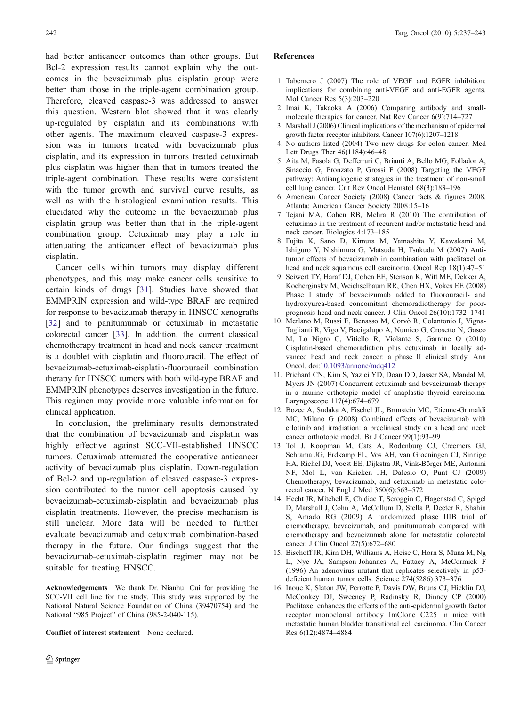<span id="page-5-0"></span>had better anticancer outcomes than other groups. But Bcl-2 expression results cannot explain why the outcomes in the bevacizumab plus cisplatin group were better than those in the triple-agent combination group. Therefore, cleaved caspase-3 was addressed to answer this question. Western blot showed that it was clearly up-regulated by cisplatin and its combinations with other agents. The maximum cleaved caspase-3 expression was in tumors treated with bevacizumab plus cisplatin, and its expression in tumors treated cetuximab plus cisplatin was higher than that in tumors treated the triple-agent combination. These results were consistent with the tumor growth and survival curve results, as well as with the histological examination results. This elucidated why the outcome in the bevacizumab plus cisplatin group was better than that in the triple-agent combination group. Cetuximab may play a role in attenuating the anticancer effect of bevacizumab plus cisplatin.

Cancer cells within tumors may display different phenotypes, and this may make cancer cells sensitive to certain kinds of drugs [[31\]](#page-6-0). Studies have showed that EMMPRIN expression and wild-type BRAF are required for response to bevacizumab therapy in HNSCC xenografts [\[32\]](#page-6-0) and to panitumumab or cetuximab in metastatic colorectal cancer [[33\]](#page-6-0). In addition, the current classical chemotherapy treatment in head and neck cancer treatment is a doublet with cisplatin and fluorouracil. The effect of bevacizumab-cetuximab-cisplatin-fluorouracil combination therapy for HNSCC tumors with both wild-type BRAF and EMMPRIN phenotypes deserves investigation in the future. This regimen may provide more valuable information for clinical application.

In conclusion, the preliminary results demonstrated that the combination of bevacizumab and cisplatin was highly effective against SCC-VII-established HNSCC tumors. Cetuximab attenuated the cooperative anticancer activity of bevacizumab plus cisplatin. Down-regulation of Bcl-2 and up-regulation of cleaved caspase-3 expression contributed to the tumor cell apoptosis caused by bevacizumab-cetuximab-cisplatin and bevacizumab plus cisplatin treatments. However, the precise mechanism is still unclear. More data will be needed to further evaluate bevacizumab and cetuximab combination-based therapy in the future. Our findings suggest that the bevacizumab-cetuximab-cisplatin regimen may not be suitable for treating HNSCC.

Acknowledgements We thank Dr. Nianhui Cui for providing the SCC-VII cell line for the study. This study was supported by the National Natural Science Foundation of China (39470754) and the National "985 Project" of China (985-2-040-115).

Conflict of interest statement None declared.

# References

- 1. Tabernero J (2007) The role of VEGF and EGFR inhibition:
- implications for combining anti-VEGF and anti-EGFR agents. Mol Cancer Res 5(3):203–220
- 2. Imai K, Takaoka A (2006) Comparing antibody and smallmolecule therapies for cancer. Nat Rev Cancer 6(9):714–727
- 3. Marshall J (2006) Clinical implications of the mechanism of epidermal growth factor receptor inhibitors. Cancer 107(6):1207–1218
- 4. No authors listed (2004) Two new drugs for colon cancer. Med Lett Drugs Ther 46(1184):46–48
- 5. Aita M, Fasola G, Defferrari C, Brianti A, Bello MG, Follador A, Sinaccio G, Pronzato P, Grossi F (2008) Targeting the VEGF pathway: Antiangiogenic strategies in the treatment of non-small cell lung cancer. Crit Rev Oncol Hematol 68(3):183–196
- 6. American Cancer Society (2008) Cancer facts & figures 2008. Atlanta: American Cancer Society 2008:15–16
- 7. Tejani MA, Cohen RB, Mehra R (2010) The contribution of cetuximab in the treatment of recurrent and/or metastatic head and neck cancer. Biologics 4:173–185
- 8. Fujita K, Sano D, Kimura M, Yamashita Y, Kawakami M, Ishiguro Y, Nishimura G, Matsuda H, Tsukuda M (2007) Antitumor effects of bevacizumab in combination with paclitaxel on head and neck squamous cell carcinoma. Oncol Rep 18(1):47–51
- 9. Seiwert TY, Haraf DJ, Cohen EE, Stenson K, Witt ME, Dekker A, Kocherginsky M, Weichselbaum RR, Chen HX, Vokes EE (2008) Phase I study of bevacizumab added to fluorouracil- and hydroxyurea-based concomitant chemoradiotherapy for poorprognosis head and neck cancer. J Clin Oncol 26(10):1732–1741
- 10. Merlano M, Russi E, Benasso M, Corvò R, Colantonio I, Vigna-Taglianti R, Vigo V, Bacigalupo A, Numico G, Crosetto N, Gasco M, Lo Nigro C, Vitiello R, Violante S, Garrone O (2010) Cisplatin-based chemoradiation plus cetuximab in locally advanced head and neck cancer: a phase II clinical study. Ann Oncol. doi:[10.1093/annonc/mdq412](http://dx.doi.org/10.1093/annonc/mdq412)
- 11. Prichard CN, Kim S, Yazici YD, Doan DD, Jasser SA, Mandal M, Myers JN (2007) Concurrent cetuximab and bevacizumab therapy in a murine orthotopic model of anaplastic thyroid carcinoma. Laryngoscope 117(4):674–679
- 12. Bozec A, Sudaka A, Fischel JL, Brunstein MC, Etienne-Grimaldi MC, Milano G (2008) Combined effects of bevacizumab with erlotinib and irradiation: a preclinical study on a head and neck cancer orthotopic model. Br J Cancer 99(1):93–99
- 13. Tol J, Koopman M, Cats A, Rodenburg CJ, Creemers GJ, Schrama JG, Erdkamp FL, Vos AH, van Groeningen CJ, Sinnige HA, Richel DJ, Voest EE, Dijkstra JR, Vink-Börger ME, Antonini NF, Mol L, van Krieken JH, Dalesio O, Punt CJ (2009) Chemotherapy, bevacizumab, and cetuximab in metastatic colorectal cancer. N Engl J Med 360(6):563–572
- 14. Hecht JR, Mitchell E, Chidiac T, Scroggin C, Hagenstad C, Spigel D, Marshall J, Cohn A, McCollum D, Stella P, Deeter R, Shahin S, Amado RG (2009) A randomized phase IIIB trial of chemotherapy, bevacizumab, and panitumumab compared with chemotherapy and bevacizumab alone for metastatic colorectal cancer. J Clin Oncol 27(5):672–680
- 15. Bischoff JR, Kirn DH, Williams A, Heise C, Horn S, Muna M, Ng L, Nye JA, Sampson-Johannes A, Fattaey A, McCormick F (1996) An adenovirus mutant that replicates selectively in p53 deficient human tumor cells. Science 274(5286):373–376
- 16. Inoue K, Slaton JW, Perrotte P, Davis DW, Bruns CJ, Hicklin DJ, McConkey DJ, Sweeney P, Radinsky R, Dinney CP (2000) Paclitaxel enhances the effects of the anti-epidermal growth factor receptor monoclonal antibody ImClone C225 in mice with metastatic human bladder transitional cell carcinoma. Clin Cancer Res 6(12):4874–4884